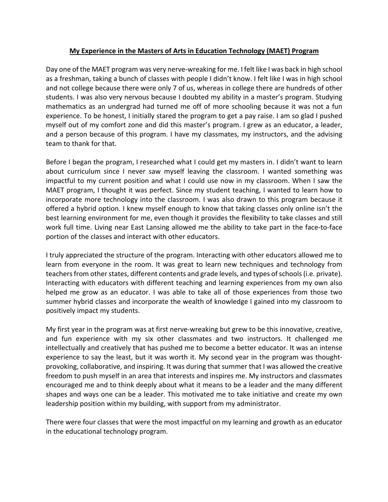## **My Experience in the Masters of Arts in Education Technology (MAET) Program**

Day one of the MAET program was very nerve-wreaking for me. I felt like I was back in high school as a freshman, taking a bunch of classes with people I didn't know. I felt like I was in high school and not college because there were only 7 of us, whereas in college there are hundreds of other students. I was also very nervous because I doubted my ability in a master's program. Studying mathematics as an undergrad had turned me off of more schooling because it was not a fun experience. To be honest, I initially stared the program to get a pay raise. I am so glad I pushed myself out of my comfort zone and did this master's program. I grew as an educator, a leader, and a person because of this program. I have my classmates, my instructors, and the advising team to thank for that.

Before I began the program, I researched what I could get my masters in. I didn't want to learn about curriculum since I never saw myself leaving the classroom. I wanted something was impactful to my current position and what I could use now in my classroom. When I saw the MAET program, I thought it was perfect. Since my student teaching, I wanted to learn how to incorporate more technology into the classroom. I was also drawn to this program because it offered a hybrid option. I knew myself enough to know that taking classes only online isn't the best learning environment for me, even though it provides the flexibility to take classes and still work full time. Living near East Lansing allowed me the ability to take part in the face-to-face portion of the classes and interact with other educators.

I truly appreciated the structure of the program. Interacting with other educators allowed me to learn from everyone in the room. It was great to learn new techniques and technology from teachers from other states, different contents and grade levels, and types of schools (i.e. private). Interacting with educators with different teaching and learning experiences from my own also helped me grow as an educator. I was able to take all of those experiences from those two summer hybrid classes and incorporate the wealth of knowledge I gained into my classroom to positively impact my students.

My first year in the program was at first nerve-wreaking but grew to be this innovative, creative, and fun experience with my six other classmates and two instructors. It challenged me intellectually and creatively that has pushed me to become a better educator. It was an intense experience to say the least, but it was worth it. My second year in the program was thoughtprovoking, collaborative, and inspiring. It was during that summer that I was allowed the creative freedom to push myself in an area that interests and inspires me. My instructors and classmates encouraged me and to think deeply about what it means to be a leader and the many different shapes and ways one can be a leader. This motivated me to take initiative and create my own leadership position within my building, with support from my administrator.

There were four classes that were the most impactful on my learning and growth as an educator in the educational technology program.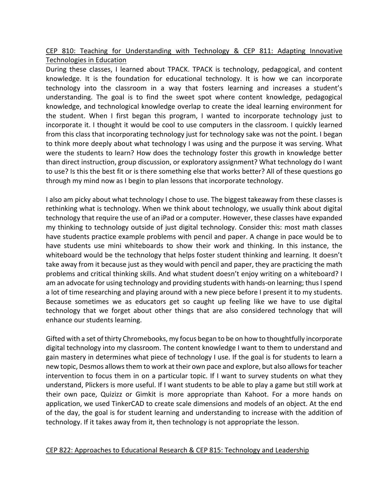CEP 810: Teaching for Understanding with Technology & CEP 811: Adapting Innovative Technologies in Education

During these classes, I learned about TPACK. TPACK is technology, pedagogical, and content knowledge. It is the foundation for educational technology. It is how we can incorporate technology into the classroom in a way that fosters learning and increases a student's understanding. The goal is to find the sweet spot where content knowledge, pedagogical knowledge, and technological knowledge overlap to create the ideal learning environment for the student. When I first began this program, I wanted to incorporate technology just to incorporate it. I thought it would be cool to use computers in the classroom. I quickly learned from this class that incorporating technology just for technology sake was not the point. I began to think more deeply about what technology I was using and the purpose it was serving. What were the students to learn? How does the technology foster this growth in knowledge better than direct instruction, group discussion, or exploratory assignment? What technology do I want to use? Is this the best fit or is there something else that works better? All of these questions go through my mind now as I begin to plan lessons that incorporate technology.

I also am picky about what technology I chose to use. The biggest takeaway from these classes is rethinking what is technology. When we think about technology, we usually think about digital technology that require the use of an iPad or a computer. However, these classes have expanded my thinking to technology outside of just digital technology. Consider this: most math classes have students practice example problems with pencil and paper. A change in pace would be to have students use mini whiteboards to show their work and thinking. In this instance, the whiteboard would be the technology that helps foster student thinking and learning. It doesn't take away from it because just as they would with pencil and paper, they are practicing the math problems and critical thinking skills. And what student doesn't enjoy writing on a whiteboard? I am an advocate for using technology and providing students with hands-on learning; thus I spend a lot of time researching and playing around with a new piece before I present it to my students. Because sometimes we as educators get so caught up feeling like we have to use digital technology that we forget about other things that are also considered technology that will enhance our students learning.

Gifted with a set of thirty Chromebooks, my focus began to be on how to thoughtfully incorporate digital technology into my classroom. The content knowledge I want to them to understand and gain mastery in determines what piece of technology I use. If the goal is for students to learn a new topic, Desmos allows them to work at their own pace and explore, but also allows for teacher intervention to focus them in on a particular topic. If I want to survey students on what they understand, Plickers is more useful. If I want students to be able to play a game but still work at their own pace, Quizizz or Gimkit is more appropriate than Kahoot. For a more hands on application, we used TinkerCAD to create scale dimensions and models of an object. At the end of the day, the goal is for student learning and understanding to increase with the addition of technology. If it takes away from it, then technology is not appropriate the lesson.

## CEP 822: Approaches to Educational Research & CEP 815: Technology and Leadership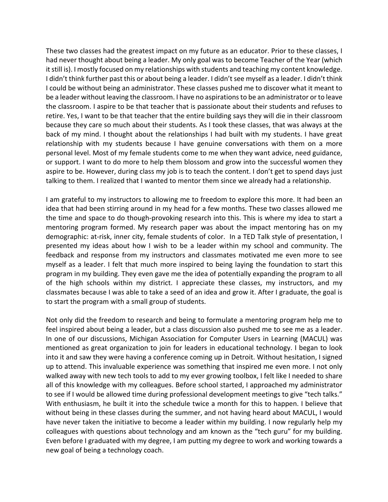These two classes had the greatest impact on my future as an educator. Prior to these classes, I had never thought about being a leader. My only goal was to become Teacher of the Year (which it still is). I mostly focused on my relationships with students and teaching my content knowledge. I didn't think further past this or about being a leader. I didn't see myself as a leader. I didn't think I could be without being an administrator. These classes pushed me to discover what it meant to be a leader without leaving the classroom. I have no aspirations to be an administrator or to leave the classroom. I aspire to be that teacher that is passionate about their students and refuses to retire. Yes, I want to be that teacher that the entire building says they will die in their classroom because they care so much about their students. As I took these classes, that was always at the back of my mind. I thought about the relationships I had built with my students. I have great relationship with my students because I have genuine conversations with them on a more personal level. Most of my female students come to me when they want advice, need guidance, or support. I want to do more to help them blossom and grow into the successful women they aspire to be. However, during class my job is to teach the content. I don't get to spend days just talking to them. I realized that I wanted to mentor them since we already had a relationship.

I am grateful to my instructors to allowing me to freedom to explore this more. It had been an idea that had been stirring around in my head for a few months. These two classes allowed me the time and space to do though-provoking research into this. This is where my idea to start a mentoring program formed. My research paper was about the impact mentoring has on my demographic: at-risk, inner city, female students of color. In a TED Talk style of presentation, I presented my ideas about how I wish to be a leader within my school and community. The feedback and response from my instructors and classmates motivated me even more to see myself as a leader. I felt that much more inspired to being laying the foundation to start this program in my building. They even gave me the idea of potentially expanding the program to all of the high schools within my district. I appreciate these classes, my instructors, and my classmates because I was able to take a seed of an idea and grow it. After I graduate, the goal is to start the program with a small group of students.

Not only did the freedom to research and being to formulate a mentoring program help me to feel inspired about being a leader, but a class discussion also pushed me to see me as a leader. In one of our discussions, Michigan Association for Computer Users in Learning (MACUL) was mentioned as great organization to join for leaders in educational technology. I began to look into it and saw they were having a conference coming up in Detroit. Without hesitation, I signed up to attend. This invaluable experience was something that inspired me even more. I not only walked away with new tech tools to add to my ever growing toolbox, I felt like I needed to share all of this knowledge with my colleagues. Before school started, I approached my administrator to see if I would be allowed time during professional development meetings to give "tech talks." With enthusiasm, he built it into the schedule twice a month for this to happen. I believe that without being in these classes during the summer, and not having heard about MACUL, I would have never taken the initiative to become a leader within my building. I now regularly help my colleagues with questions about technology and am known as the "tech guru" for my building. Even before I graduated with my degree, I am putting my degree to work and working towards a new goal of being a technology coach.